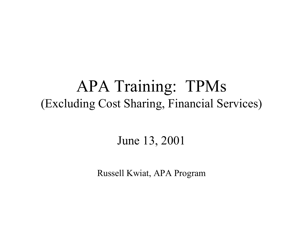#### APA Training: TPMs (Excluding Cost Sharing, Financial Services)

#### June 13, 2001

Russell Kwiat, APA Program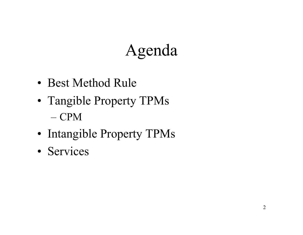## Agenda

- Best Method Rule
- Tangible Property TPMs – CPM
- Intangible Property TPMs
- Services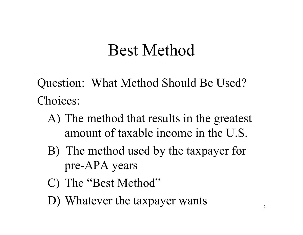Question: What Method Should Be Used? Choices:

- A) The method that results in the greatest amount of taxable income in the U.S.
- B) The method used by the taxpayer for pre-APA years
- C) The "Best Method"
- D) Whatever the taxpayer wants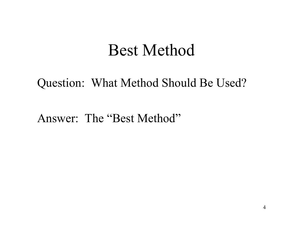#### Question: What Method Should Be Used?

Answer: The "Best Method"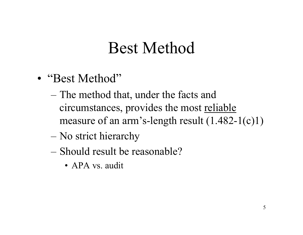- "Best Method"
	- The method that, under the facts and circumstances, provides the most reliable measure of an arm's-length result (1.482-1(c)1)
	- No strict hierarchy
	- –Should result be reasonable?
		- •APA vs. audit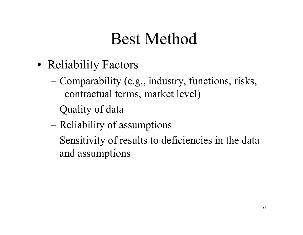- •• Reliability Factors
	- Comparability (e.g., industry, functions, risks, contractual terms, market level)
	- Quality of data
	- Reliability of assumptions
	- Sensitivity of results to deficiencies in the data and assumptions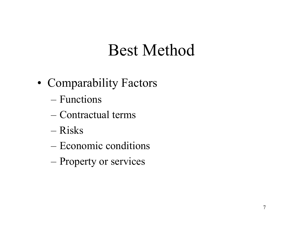- Comparability Factors
	- –Functions
	- –Contractual terms
	- –Risks
	- Economic conditions
	- Property or services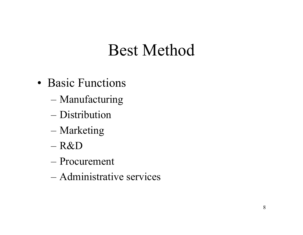- Basic Functions
	- Manufacturing
	- –Distribution
	- Marketing
	- R&D
	- –Procurement
	- –Administrative services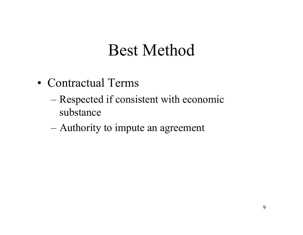- Contractual Terms
	- Respected if consistent with economic substance
	- Authority to impute an agreement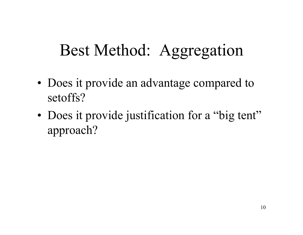## Best Method: Aggregation

- •• Does it provide an advantage compared to setoffs?
- •• Does it provide justification for a "big tent" approach?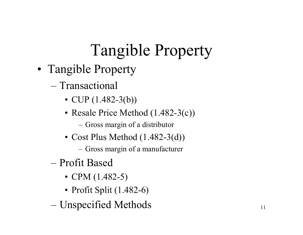# Tangible Property

- Tangible Property
	- $-$  Transactional
		- CUP (1.482-3(b))
		- Resale Price Method (1.482-3(c))
			- Gross margin of a distributor
		- Cost Plus Method (1.482-3(d))
			- Gross margin of a manufacturer
	- –Profit Based
		- CPM (1.482-5)
		- Profit Split (1.482-6)
	- Unspecified Methods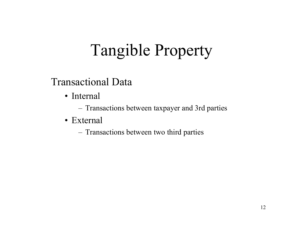# Tangible Property

Transactional Data

- Internal
	- Transactions between taxpayer and 3rd parties
- •External
	- Transactions between two third parties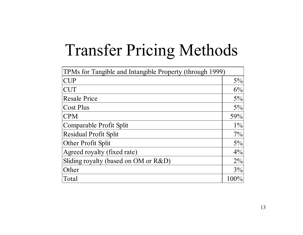# Transfer Pricing Methods

| TPMs for Tangible and Intangible Property (through 1999) |       |  |  |
|----------------------------------------------------------|-------|--|--|
| <b>CUP</b>                                               | $5\%$ |  |  |
| <b>CUT</b>                                               | 6%    |  |  |
| <b>Resale Price</b>                                      | $5\%$ |  |  |
| <b>Cost Plus</b>                                         | 5%    |  |  |
| <b>CPM</b>                                               | 59%   |  |  |
| Comparable Profit Split                                  | $1\%$ |  |  |
| <b>Residual Profit Split</b>                             | 7%    |  |  |
| Other Profit Split                                       | 5%    |  |  |
| Agreed royalty (fixed rate)                              | $4\%$ |  |  |
| Sliding royalty (based on OM or R&D)                     | $2\%$ |  |  |
| Other                                                    | 3%    |  |  |
| Total                                                    | 100%  |  |  |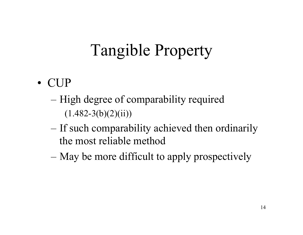# Tangible Property

- CUP
	- High degree of comparability required  $(1.482-3(b)(2)(ii))$
	- If such comparability achieved then ordinarily the most reliable method
	- May be more difficult to apply prospectively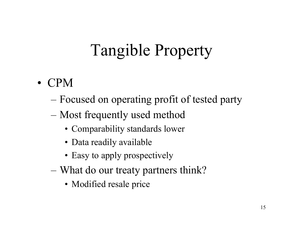# Tangible Property

- CPM
	- Focused on operating profit of tested party
	- Most frequently used method
		- Comparability standards lower
		- Data readily available
		- Easy to apply prospectively
	- What do our treaty partners think?
		- Modified resale price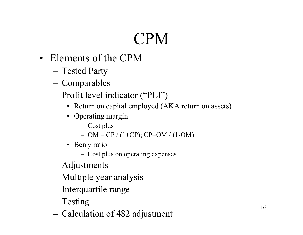- Elements of the CPM
	- –Tested Party
	- –Comparables
	- – Profit level indicator ("PLI")
		- Return on capital employed (AKA return on assets)
		- Operating margin
			- Cost plus
			- OM = CP / (1+CP); CP=OM / (1-OM)
		- Berry ratio
			- Cost plus on operating expenses
	- –Adjustments
	- –Multiple year analysis
	- –- Interquartile range
	- –Testing
	- –Calculation of 482 adjustment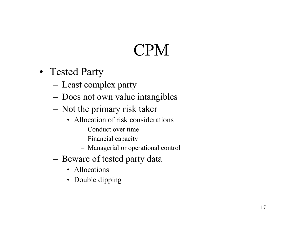- Tested Party
	- –Least complex party
	- –Does not own value intangibles
	- –– Not the primary risk taker
		- Allocation of risk considerations
			- Conduct over time
			- Financial capacity
			- Managerial or operational control
	- – $-$  Beware of tested party data
		- Allocations
		- Double dipping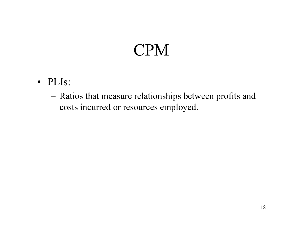- PLIs:
	- – Ratios that measure relationships between profits and costs incurred or resources employed.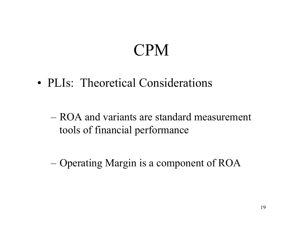• PLIs: Theoretical Considerations

– ROA and variants are standard measurement tools of financial performance

Operating Margin is a component of ROA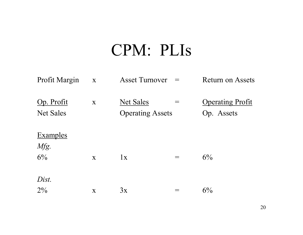| Profit Margin                  | $\mathbf{X}$ | <b>Asset Turnover</b>                       |                 | <b>Return on Assets</b>               |
|--------------------------------|--------------|---------------------------------------------|-----------------|---------------------------------------|
| Op. Profit<br><b>Net Sales</b> | $\mathbf{X}$ | <b>Net Sales</b><br><b>Operating Assets</b> |                 | <b>Operating Profit</b><br>Op. Assets |
| <b>Examples</b>                |              |                                             |                 |                                       |
| Mfg.                           |              |                                             |                 |                                       |
| 6%                             | $\mathbf{X}$ | 1x                                          | $\!\!\!=\!\!\!$ | $6\%$                                 |
| Dist.                          |              |                                             |                 |                                       |
| $2\%$                          | X            | 3x                                          |                 | 6%                                    |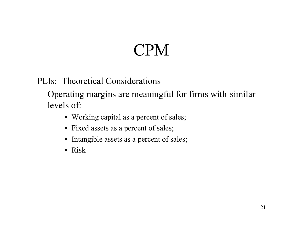PLIs: Theoretical Considerations

Operating margins are meaningful for firms with similar levels of:

- Working capital as a percent of sales;
- Fixed assets as a percent of sales;
- Intangible assets as a percent of sales;
- Risk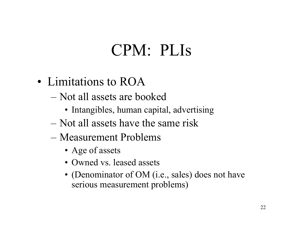- Limitations to ROA
	- Not all assets are booked
		- Intangibles, human capital, advertising
	- Not all assets have the same risk
	- Measurement Problems
		- Age of assets
		- Owned vs. leased assets
		- (Denominator of OM (i.e., sales) does not have serious measurement problems)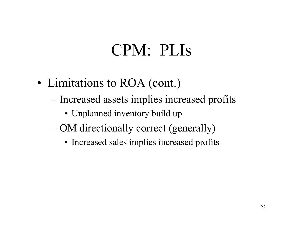- Limitations to ROA (cont.)
	- Increased assets implies increased profits
		- Unplanned inventory build up
	- OM directionally correct (generally)
		- Increased sales implies increased profits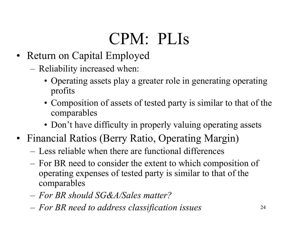- • Return on Capital Employed
	- – Reliability increased when:
		- Operating assets play a greater role in generating operating profits
		- Composition of assets of tested party is similar to that of the comparables
		- Don't have difficulty in properly valuing operating assets
- Financial Ratios (Berry Ratio, Operating Margin)
	- Less reliable when there are functional differences
	- – For BR need to consider the extent to which composition of operating expenses of tested party is similar to that of the comparables
	- *For BR should SG&A/Sales matter?*
	- –*For BR need to address classification issues*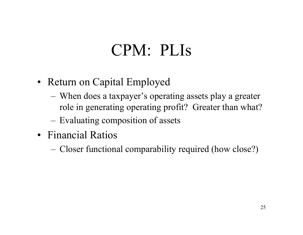- Return on Capital Employed
	- – When does a taxpayer's operating assets play a greater role in generating operating profit? Greater than what?
	- Evaluating composition of assets
- Financial Ratios
	- Closer functional comparability required (how close?)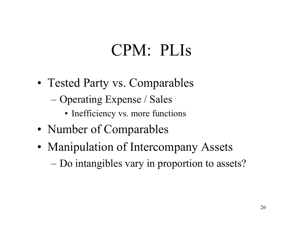- Tested Party vs. Comparables
	- Operating Expense / Sales
		- Inefficiency vs. more functions
- Number of Comparables
- Manipulation of Intercompany Assets Do intangibles vary in proportion to assets?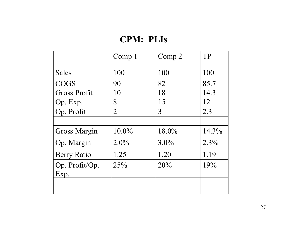|                     | Comp <sub>1</sub> | Comp 2  | TP       |
|---------------------|-------------------|---------|----------|
| <b>Sales</b>        | 100               | 100     | 100      |
| <b>COGS</b>         | 90                | 82      | 85.7     |
| <b>Gross Profit</b> | 10                | 18      | 14.3     |
| Op. Exp.            | 8                 | 15      | 12       |
| Op. Profit          | $\overline{2}$    | 3       | 2.3      |
|                     |                   |         |          |
| <b>Gross Margin</b> | $10.0\%$          | 18.0%   | $14.3\%$ |
| Op. Margin          | $2.0\%$           | $3.0\%$ | $2.3\%$  |
| <b>Berry Ratio</b>  | 1.25              | 1.20    | 1.19     |
| Op. Profit/Op.      | 25%               | 20%     | 19%      |
| <u>Exp.</u>         |                   |         |          |
|                     |                   |         |          |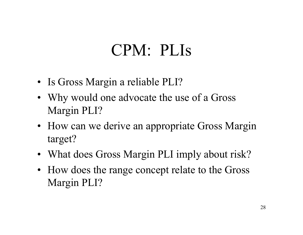- Is Gross Margin a reliable PLI?
- Why would one advocate the use of a Gross Margin PLI?
- How can we derive an appropriate Gross Margin target?
- What does Gross Margin PLI imply about risk?
- How does the range concept relate to the Gross Margin PLI?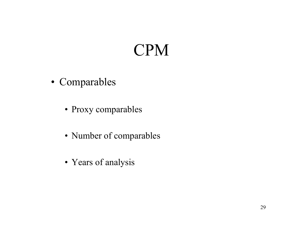- Comparables
	- Proxy comparables
	- Number of comparables
	- Years of analysis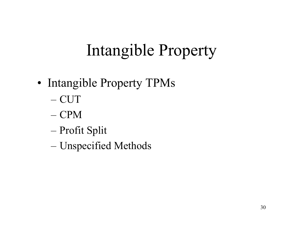## Intangible Property

- •• Intangible Property TPMs
	- CUT
	- CPM
	- Profit Split
	- Unspecified Methods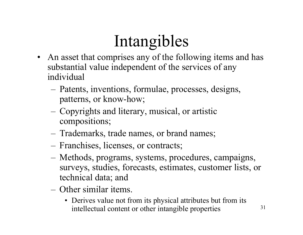- An asset that comprises any of the following items and has substantial value independent of the services of any individual
	- – Patents, inventions, formulae, processes, designs, patterns, or know-how;
	- – Copyrights and literary, musical, or artistic compositions;
	- –Trademarks, trade names, or brand names;
	- Franchises, licenses, or contracts;
	- – Methods, programs, systems, procedures, campaigns, surveys, studies, forecasts, estimates, customer lists, or technical data; and
	- Other similar items.
		- Derives value not from its physical attributes but from its intellectual content or other intangible properties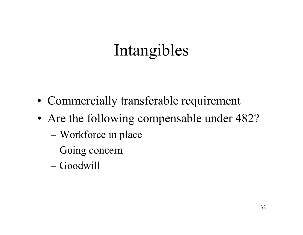- Commercially transferable requirement
- Are the following compensable under 482?
	- Workforce in place
	- Going concern
	- Goodwill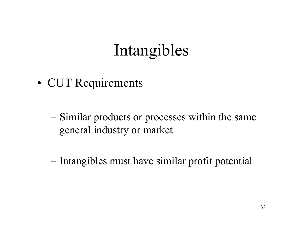• CUT Requirements

- Similar products or processes within the same general industry or market
- Intangibles must have similar profit potential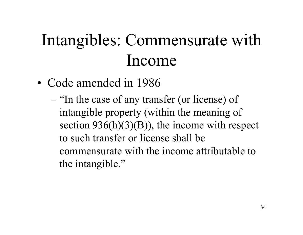# Intangibles: Commensurate with Income

- Code amended in 1986
	- "In the case of any transfer (or license) of intangible property (within the meaning of section  $936(h)(3)(B)$ , the income with respect to such transfer or license shall be commensurate with the income attributable to the intangible."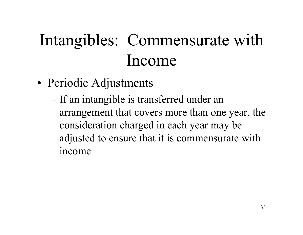# Intangibles: Commensurate with Income

- • Periodic Adjustments
	- If an intangible is transferred under an arrangement that covers more than one year, the consideration charged in each year may be adjusted to ensure that it is commensurate with income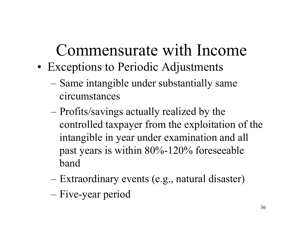# Commensurate with Income

- • Exceptions to Periodic Adjustments
	- Same intangible under substantially same circumstances
	- Profits/savings actually realized by the controlled taxpayer from the exploitation of the intangible in year under examination and all past years is within 80%-120% foreseeable band
	- Extraordinary events (e.g., natural disaster) – Five-year period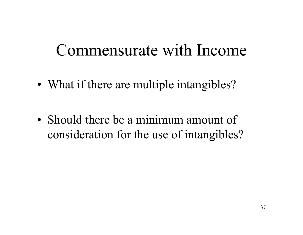### Commensurate with Income

•• What if there are multiple intangibles?

• Should there be a minimum amount of consideration for the use of intangibles?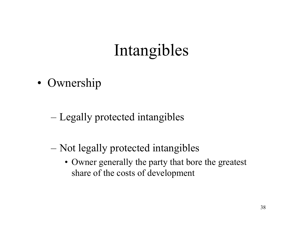• Ownership

- Legally protected intangibles
- Not legally protected intangibles
	- Owner generally the party that bore the greatest share of the costs of development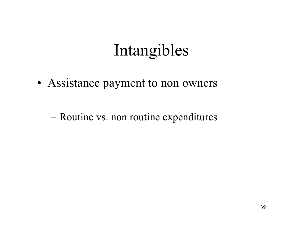• Assistance payment to non owners

Routine vs. non routine expenditures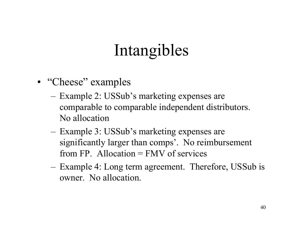- "Cheese" examples
	- –– Example 2: USSub's marketing expenses are comparable to comparable independent distributors. No allocation
	- –– Example 3: USSub's marketing expenses are significantly larger than comps'. No reimbursement from FP. Allocation  $=$  FMV of services
	- –- Example 4: Long term agreement. Therefore, USSub is owner. No allocation.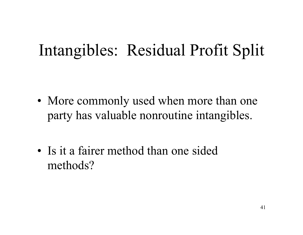•• More commonly used when more than one party has valuable nonroutine intangibles.

• Is it a fairer method than one sided methods?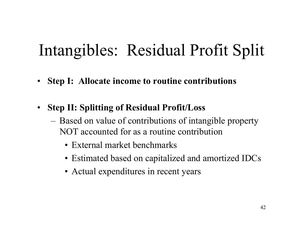- $\bullet$ **Step I: Allocate income to routine contributions**
- $\bullet$  **Step II: Splitting of Residual Profit/Loss**
	- Based on value of contributions of intangible property NOT accounted for as a routine contribution
		- •External market benchmarks
		- Estimated based on capitalized and amortized IDCs
		- Actual expenditures in recent years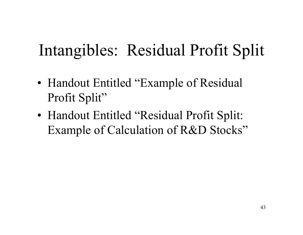- •• Handout Entitled "Example of Residual Profit Split"
- • Handout Entitled "Residual Profit Split: Example of Calculation of R&D Stocks"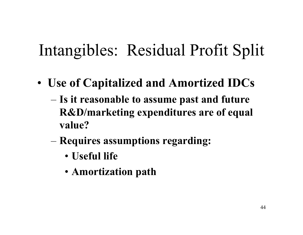- **Use of Capitalized and Amortized IDCs**
	- **Is it reasonable to assume past and future R&D/marketing expenditures are of equal value?**
	- **Requires assumptions regarding:**
		- **Useful life**
		- **Amortization path**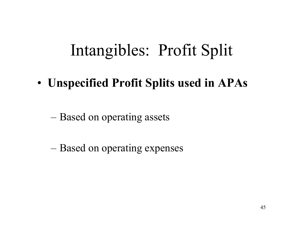• **Unspecified Profit Splits used in APAs**

– Based on operating assets

– Based on operating expenses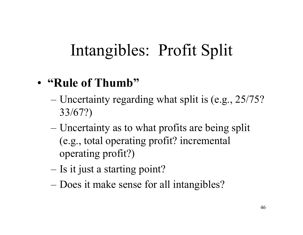#### • **"Rule of Thumb"**

- Uncertainty regarding what split is (e.g., 25/75? 33/67?)
- Uncertainty as to what profits are being split (e.g., total operating profit? incremental operating profit?)
- Is it just a starting point?
- Does it make sense for all intangibles?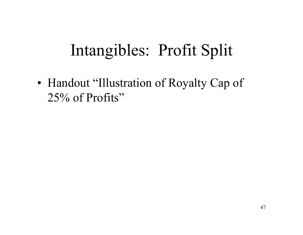•• Handout "Illustration of Royalty Cap of 25% of Profits"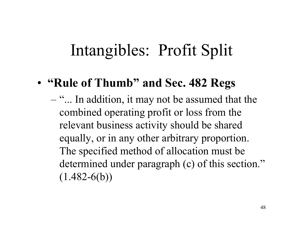#### • **"Rule of Thumb" and Sec. 482 Regs**

– "... In addition, it may not be assumed that the combined operating profit or loss from the relevant business activity should be shared equally, or in any other arbitrary proportion. The specified method of allocation must be determined under paragraph (c) of this section."  $(1.482-6(b))$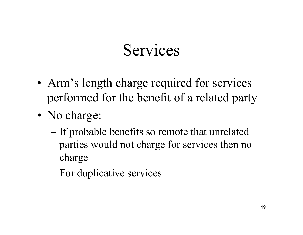- Arm's length charge required for services performed for the benefit of a related party
- No charge:
	- If probable benefits so remote that unrelated parties would not charge for services then no charge
	- For duplicative services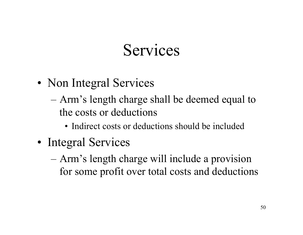- Non Integral Services
	- Arm's length charge shall be deemed equal to the costs or deductions
		- Indirect costs or deductions should be included
- Integral Services
	- Arm's length charge will include a provision for some profit over total costs and deductions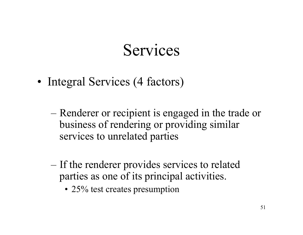- Integral Services (4 factors)
	- Renderer or recipient is engaged in the trade or business of rendering or providing similar services to unrelated parties
	- If the renderer provides services to related parties as one of its principal activities.
		- 25% test creates presumption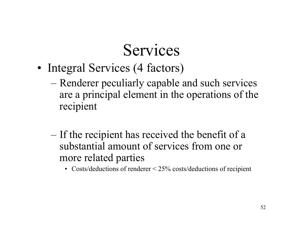- Integral Services (4 factors)
	- Renderer peculiarly capable and such services are a principal element in the operations of the recipient
	- If the recipient has received the benefit of a substantial amount of services from one or more related parties
		- Costs/deductions of renderer < 25% costs/deductions of recipient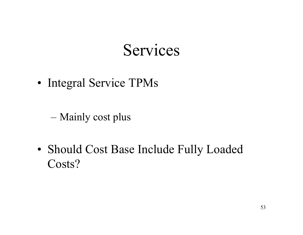• Integral Service TPMs

Mainly cost plus

• Should Cost Base Include Fully Loaded Costs?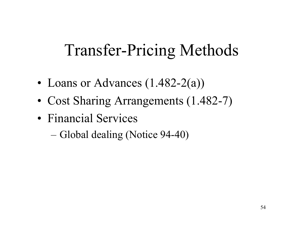## Transfer-Pricing Methods

- •• Loans or Advances (1.482-2(a))
- Cost Sharing Arrangements (1.482-7)
- Financial Services
	- Global dealing (Notice 94-40)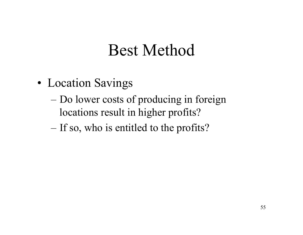- • Location Savings
	- Do lower costs of producing in foreign locations result in higher profits?
	- If so, who is entitled to the profits?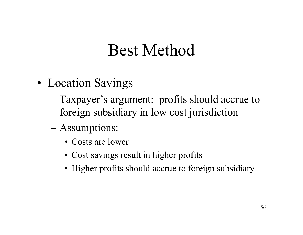- • Location Savings
	- Taxpayer's argument: profits should accrue to foreign subsidiary in low cost jurisdiction
	- Assumptions:
		- Costs are lower
		- Cost savings result in higher profits
		- Higher profits should accrue to foreign subsidiary